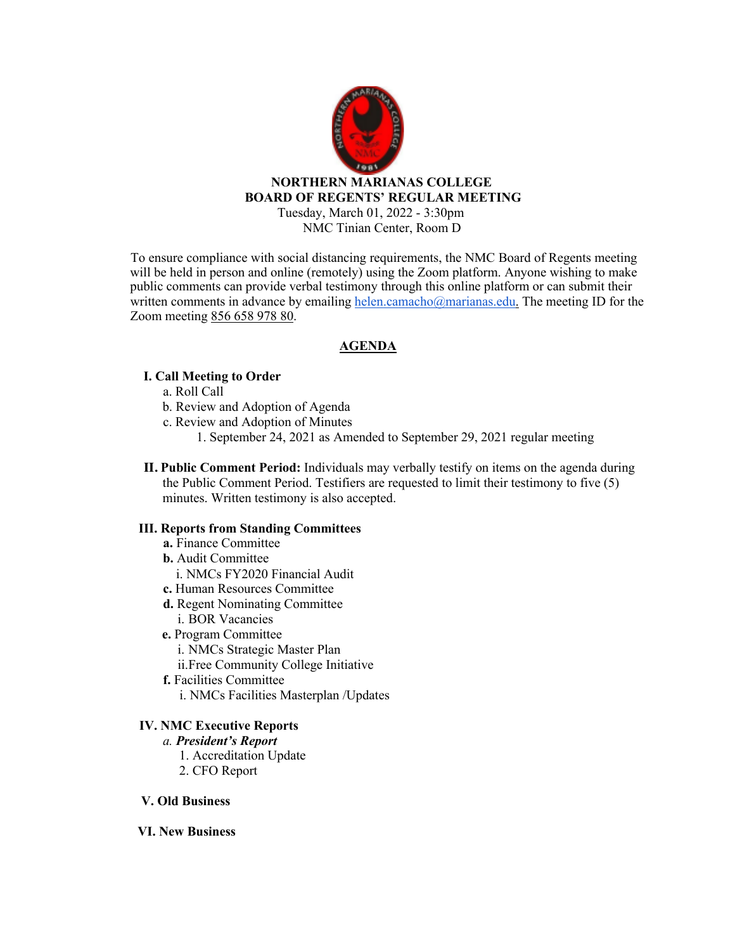

### **NORTHERN MARIANAS COLLEGE BOARD OF REGENTS' REGULAR MEETING**

 Tuesday, March 01, 2022 - 3:30pm NMC Tinian Center, Room D

To ensure compliance with social distancing requirements, the NMC Board of Regents meeting will be held in person and online (remotely) using the Zoom platform. Anyone wishing to make public comments can provide verbal testimony through this online platform or can submit their written comments in advance by emailing helen.camacho@marianas.edu. The meeting ID for the Zoom meeting 856 658 978 80.

# **AGENDA**

## **I. Call Meeting to Order**

a. Roll Call

- b. Review and Adoption of Agenda
- c. Review and Adoption of Minutes
	- 1. September 24, 2021 as Amended to September 29, 2021 regular meeting
- **II. Public Comment Period:** Individuals may verbally testify on items on the agenda during the Public Comment Period. Testifiers are requested to limit their testimony to five (5) minutes. Written testimony is also accepted.

## **III. Reports from Standing Committees**

- **a.** Finance Committee
- **b.** Audit Committee
	- i. NMCs FY2020 Financial Audit
- **c.** Human Resources Committee
- **d.** Regent Nominating Committee i. BOR Vacancies
- **e.** Program Committee i. NMCs Strategic Master Plan
	- ii.Free Community College Initiative
- **f.** Facilities Committee i. NMCs Facilities Masterplan /Updates

## **IV. NMC Executive Reports**

- *a. President's Report* 
	- 1. Accreditation Update
	- 2. CFO Report

#### **V. Old Business**

#### **VI. New Business**